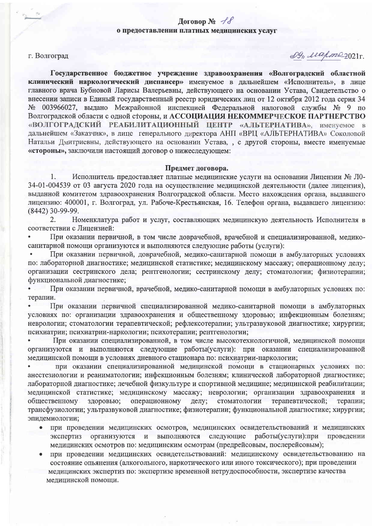# Договор №  $\mathcal{A}$ о предоставлении платных медицинских услуг

#### г. Волгоград

WB reapmezo21r.

Государственное бюджетное учреждение здравоохранения «Волгоградский областной клинический наркологический диспансер» именуемое в дальнейшем «Исполнитель», в лице главного врача Бубновой Ларисы Валерьевны, действующего на основании Устава, Свидетельство о внесении записи в Единый государственный реестр юридических лиц от 12 октября 2012 года серия 34 № 003966027, выдано Межрайонной инспекцией Федеральной налоговой службы № 9 по Волгоградской области с одной стороны, и АССОЦИАЦИЯ НЕКОММЕРЧЕСКОЕ ПАРТНЕРСТВО «ВОЛГОГРАДСКИЙ РЕАБИЛИТАЦИОННЫЙ ЦЕНТР «АЛЬТЕРНАТИВА», именуемое в дальнейшем «Заказчик», в лице генерального директора АНП «ВРЦ «АЛЬТЕРНАТИВА» Соколовой Натальи Дмитриевны, действующего на основании Устава, , с другой стороны, вместе именуемые «стороны», заключили настоящий договор о нижеследующем:

## Предмет договора.

Исполнитель предоставляет платные медицинские услуги на основании Лицензии № Л0- $\mathbf{1}$ . 34-01-004539 от 03 августа 2020 года на осуществление медицинской деятельности (далее лицензия), выданной комитетом здравоохранения Волгоградской области. Место нахождения органа, выдавшего лицензию: 400001, г. Волгоград, ул. Рабоче-Крестьянская, 16. Телефон органа, выдавшего лицензию: (8442) 30-99-99.

Номенклатура работ и услуг, составляющих медицинскую деятельность Исполнителя в  $2.$ соответствии с Лицензией:

При оказании первичной, в том числе доврачебной, врачебной и специализированной, медикосанитарной помощи организуются и выполняются следующие работы (услуги):

При оказании первичной, доврачебной, медико-санитарной помощи в амбулаторных условиях по: лабораторной диагностике; медицинской статистике; медицинскому массажу; операционному делу; организации сестринского дела; рентгенологии; сестринскому делу; стоматологии; физиотерапии; функциональной диагностике;

При оказании первичной, врачебной, медико-санитарной помощи в амбулаторных условиях по: терапии.

При оказании первичной специализированной медико-санитарной помощи в амбулаторных условиях по: организации здравоохранения и общественному здоровью; инфекционным болезням; неврологии; стоматологии терапевтической; рефлексотерапии; ультразвуковой диагностике; хирургии; психиатрии; психиатрии-наркологии; психотерапии; рентгенологии;

При оказании специализированной, в том числе высокотехнологичной, медицинской помощи организуются и выполняются следующие работы(услуги): при оказании специализированной медицинской помощи в условиях дневного стационара по: психиатрии-наркологии;

при оказании специализированной медицинской помощи в стационарных условиях по: анестезиологии и реаниматологии: инфекционным болезням: клинической лабораторной диагностике; лабораторной диагностике; лечебной физкультуре и спортивной медицине; медицинской реабилитации; медицинской статистике; медицинскому массажу; неврологии; организации здравоохранения и обшественному здоровью; операционному делу; стоматологии терапевтической; терапии: трансфузиологии; ультразвуковой диагностике; физиотерапии; функциональной диагностике; хирургии; эпидемиологии;

- при проведении медицинских осмотров, медицинских освидетельствований и медицинских экспертиз организуются выполняются следующие работы(услуги):при провелении  $\mathbf H$ медицинских осмотров по: медицинским осмотрам (предрейсовым, послерейсовым);
- при проведении медицинских освидетельствований: медицинскому освидетельствованию на состояние опьянения (алкогольного, наркотического или иного токсического); при проведении медицинских экспертиз по: экспертизе временной нетрудоспособности, экспертизе качества медицинской помощи.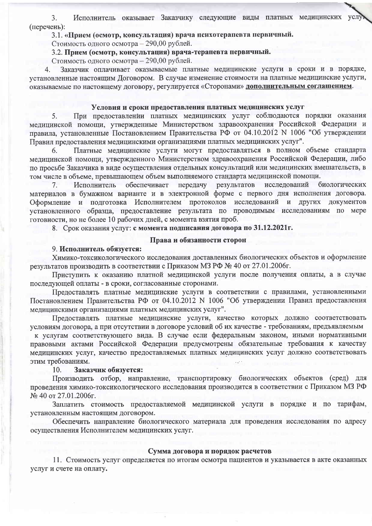Исполнитель оказывает Заказчику следующие виды платных медицинских услу  $\overline{3}$ . (перечень):

3.1. «Прием (осмотр, консультация) врача психотерапевта первичный.

Стоимость одного осмотра - 290,00 рублей.

3.2. Прием (осмотр, консультация) врача-терапевта первичный.

Стоимость одного осмотра - 290.00 рублей.

Заказчик оплачивает оказываемые платные медицинские услуги в сроки и в порядке,  $\overline{4}$ установленные настоящим Договором. В случае изменение стоимости на платные медицинские услуги, оказываемые по настоящему договору, регулируется «Сторонами» дополнительным соглашением.

# Условия и сроки прелоставления платных медицинских услуг

При предоставлении платных медицинских услуг соблюдаются порядки оказания медицинской помощи, утвержденные Министерством здравоохранения Российской Федерации и правила, установленные Постановлением Правительства РФ от 04.10.2012 N 1006 "Об утверждении Правил предоставления медицинскими организациями платных медицинских услуг".

Платные медицинские услуги могут предоставляться в полном объеме стандарта 6. медицинской помощи, утвержденного Министерством здравоохранения Российской Федерации, либо по просьбе Заказчика в виде осуществления отдельных консультаций или медицинских вмешательств, в том числе в объеме, превышающем объем выполняемого стандарта медицинской помощи.

обеспечивает передачу результатов исслелований биологических  $7<sub>1</sub>$ Исполнитель материалов в бумажном варианте и в электронной форме с первого дня исполнения договора. Оформление и подготовка Исполнителем протоколов исследований и других документов установленного образца, предоставление результата по проводимым исследованиям по мере готовности, но не более 10 рабочих дней, с момента взятия проб.

8. Срок оказания услуг: с момента подписания договора по 31.12.2021г.

## Права и обязанности сторон

#### 9. Исполнитель обязуется:

Химико-токсикологического исследования доставленных биологических объектов и оформление результатов производить в соответствии с Приказом МЗ РФ № 40 от 27.01.2006г.

Приступить к оказанию платной медицинской услуги после получения оплаты, а в случае последующей оплаты - в сроки, согласованные сторонами.

Предоставлять платные медицинские услуги в соответствии с правилами, установленными Постановлением Правительства РФ от 04.10.2012 N 1006 "Об утверждении Правил предоставления медицинскими организациями платных медицинских услуг".

Предоставлять платные медицинские услуги, качество которых должно соответствовать условиям договора, а при отсутствии в договоре условий об их качестве - требованиям, предъявляемым

к услугам соответствующего вида. В случае если федеральным законом, иными нормативными правовыми актами Российской Федерации предусмотрены обязательные требования к качеству мелицинских услуг, качество предоставляемых платных медицинских услуг должно соответствовать этим требованиям.

#### $10.$ Заказчик обязуется:

Производить отбор, направление, транспортировку биологических объектов (сред) для проведения химико-токсикологического исследования производится в соответствии с Приказом МЗ РФ № 40 от 27.01.2006г.

Заплатить стоимость предоставляемой медицинской услуги в порядке и по тарифам, установленным настоящим договором.

Обеспечить направление биологического материала для проведения исследования по адресу осуществления Исполнителем медицинских услуг.

#### Сумма договора и порядок расчетов

11. Стоимость услуг определяется по итогам осмотра пациентов и указывается в акте оказанных услуг и счете на оплату.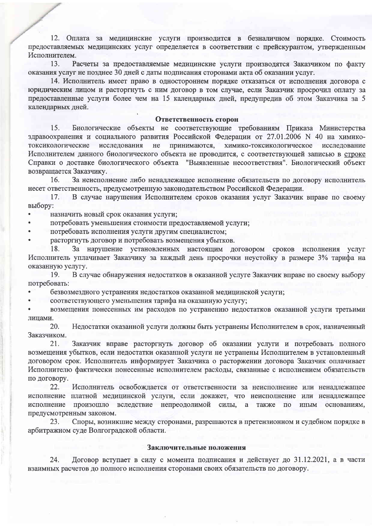12. Оплата за медицинские услуги производится в безналичном порядке. Стоимость предоставляемых медицинских услуг определяется в соответствии с прейскурантом, утвержденным Исполнителем.

 $13.$ Расчеты за предоставляемые медицинские услуги производятся Заказчиком по факту оказания услуг не позднее 30 дней с даты подписания сторонами акта об оказании услуг.

14. Исполнитель имеет право в одностороннем порядке отказаться от исполнения договора с юридическим лицом и расторгнуть с ним договор в том случае, если Заказчик просрочил оплату за предоставленные услуги более чем на 15 календарных дней, предупредив об этом Заказчика за 5 каленларных лней.

#### Ответственность сторон

 $15<sup>1</sup>$ Биологические объекты не соответствующие требованиям Приказа Министерства здравоохранения и социального развития Российской Федерации от 27.01.2006 N 40 на химикотоксикологические исследования  $He$ принимаются, химико-токсикологическое исследование Исполнителем данного биологического объекта не проводится, с соответствующей записью в строке Справки о доставке биологического объекта "Выявленные несоответствия". Биологический объект возвращается Заказчику.

За неисполнение либо ненадлежащее исполнение обязательств по договору исполнитель 16. несет ответственность, предусмотренную законодательством Российской Федерации.

 $17<sub>1</sub>$ В случае нарушения Исполнителем сроков оказания услуг Заказчик вправе по своему выбору:

назначить новый срок оказания услуги;

потребовать уменьшения стоимости предоставляемой услуги:

потребовать исполнения услуги другим специалистом;

расторгнуть договор и потребовать возмещения убытков.

18. За нарушение установленных настоящим договором сроков исполнения услуг Исполнитель уплачивает Заказчику за каждый день просрочки неустойку в размере 3% тарифа на оказанную услугу.

19. В случае обнаружения недостатков в оказанной услуге Заказчик вправе по своему выбору потребовать:

безвозмездного устранения недостатков оказанной медицинской услуги;

соответствующего уменьшения тарифа на оказанную услугу;

возмещения понесенных им расходов по устранению недостатков оказанной услуги третьими лицами.

20. Недостатки оказанной услуги должны быть устранены Исполнителем в срок, назначенный Заказчиком.

21. Заказчик вправе расторгнуть договор об оказании услуги и потребовать полного возмещения убытков, если недостатки оказанной услуги не устранены Исполнителем в установленный договором срок. Исполнитель информирует Заказчика о расторжении договора Заказчик оплачивает Исполнителю фактически понесенные исполнителем расходы, связанные с исполнением обязательств по договору.

Исполнитель освобождается от ответственности за неисполнение или ненадлежащее 22. исполнение платной медицинской услуги, если докажет, что неисполнение или ненадлежащее исполнение произошло вследствие непреодолимой силы, основаниям,  $a$ также  $\overline{10}$ ИНЫМ предусмотренным законом.

23. Споры, возникшие между сторонами, разрешаются в претензионном и судебном порядке в арбитражном суде Волгоградской области.

# Заключительные положения

Договор вступает в силу с момента подписания и действует до 31.12.2021, а в части 24. взаимных расчетов до полного исполнения сторонами своих обязательств по договору.